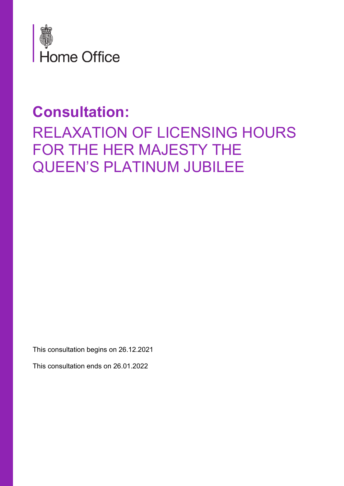

# **Consultation:**  RELAXATION OF LICENSING HOURS FOR THE HER MAJESTY THE QUEEN'S PLATINUM JUBILEE

This consultation begins on 26.12.2021

This consultation ends on 26.01.2022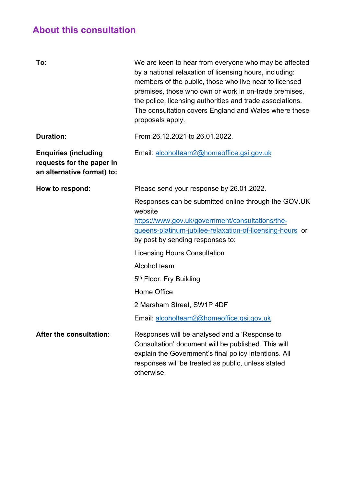### **About this consultation**

| To:                                                                                    | We are keen to hear from everyone who may be affected<br>by a national relaxation of licensing hours, including:<br>members of the public, those who live near to licensed<br>premises, those who own or work in on-trade premises,<br>the police, licensing authorities and trade associations.<br>The consultation covers England and Wales where these<br>proposals apply. |
|----------------------------------------------------------------------------------------|-------------------------------------------------------------------------------------------------------------------------------------------------------------------------------------------------------------------------------------------------------------------------------------------------------------------------------------------------------------------------------|
| <b>Duration:</b>                                                                       | From 26.12.2021 to 26.01.2022.                                                                                                                                                                                                                                                                                                                                                |
| <b>Enquiries (including</b><br>requests for the paper in<br>an alternative format) to: | Email: alcoholteam2@homeoffice.gsi.gov.uk                                                                                                                                                                                                                                                                                                                                     |
| How to respond:                                                                        | Please send your response by 26.01.2022.                                                                                                                                                                                                                                                                                                                                      |
|                                                                                        | Responses can be submitted online through the GOV.UK<br>website<br>https://www.gov.uk/government/consultations/the-<br>gueens-platinum-jubilee-relaxation-of-licensing-hours or<br>by post by sending responses to:                                                                                                                                                           |
|                                                                                        | <b>Licensing Hours Consultation</b>                                                                                                                                                                                                                                                                                                                                           |
|                                                                                        | Alcohol team                                                                                                                                                                                                                                                                                                                                                                  |
|                                                                                        | 5 <sup>th</sup> Floor, Fry Building                                                                                                                                                                                                                                                                                                                                           |
|                                                                                        | Home Office                                                                                                                                                                                                                                                                                                                                                                   |
|                                                                                        | 2 Marsham Street, SW1P 4DF                                                                                                                                                                                                                                                                                                                                                    |
|                                                                                        | Email: alcoholteam2@homeoffice.gsi.gov.uk                                                                                                                                                                                                                                                                                                                                     |
| <b>After the consultation:</b>                                                         | Responses will be analysed and a 'Response to<br>Consultation' document will be published. This will<br>explain the Government's final policy intentions. All<br>responses will be treated as public, unless stated<br>otherwise.                                                                                                                                             |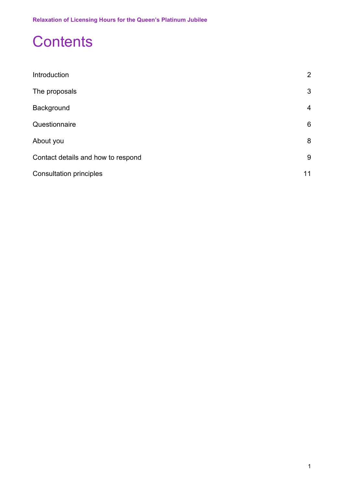## **Contents**

| Introduction                       | 2  |
|------------------------------------|----|
| The proposals                      | 3  |
| Background                         | 4  |
| Questionnaire                      | 6  |
| About you                          | 8  |
| Contact details and how to respond | 9  |
| <b>Consultation principles</b>     | 11 |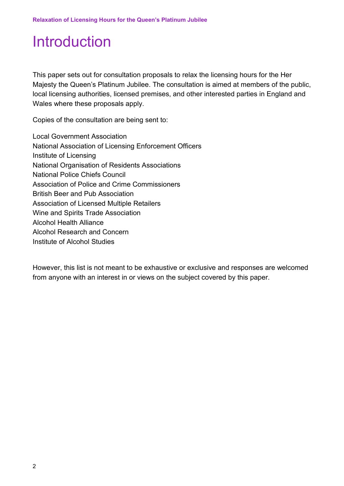# <span id="page-3-0"></span>Introduction

This paper sets out for consultation proposals to relax the licensing hours for the Her Majesty the Queen's Platinum Jubilee. The consultation is aimed at members of the public, local licensing authorities, licensed premises, and other interested parties in England and Wales where these proposals apply.

Copies of the consultation are being sent to:

Local Government Association National Association of Licensing Enforcement Officers Institute of Licensing National Organisation of Residents Associations National Police Chiefs Council Association of Police and Crime Commissioners British Beer and Pub Association Association of Licensed Multiple Retailers Wine and Spirits Trade Association Alcohol Health Alliance Alcohol Research and Concern Institute of Alcohol Studies

However, this list is not meant to be exhaustive or exclusive and responses are welcomed from anyone with an interest in or views on the subject covered by this paper.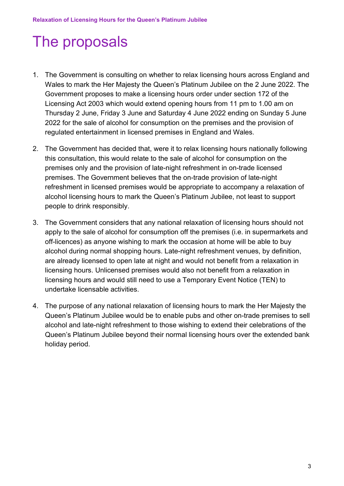# <span id="page-4-0"></span>The proposals

- 1. The Government is consulting on whether to relax licensing hours across England and Wales to mark the Her Majesty the Queen's Platinum Jubilee on the 2 June 2022. The Government proposes to make a licensing hours order under section 172 of the Licensing Act 2003 which would extend opening hours from 11 pm to 1.00 am on Thursday 2 June, Friday 3 June and Saturday 4 June 2022 ending on Sunday 5 June 2022 for the sale of alcohol for consumption on the premises and the provision of regulated entertainment in licensed premises in England and Wales.
- 2. The Government has decided that, were it to relax licensing hours nationally following this consultation, this would relate to the sale of alcohol for consumption on the premises only and the provision of late-night refreshment in on-trade licensed premises. The Government believes that the on-trade provision of late-night refreshment in licensed premises would be appropriate to accompany a relaxation of alcohol licensing hours to mark the Queen's Platinum Jubilee, not least to support people to drink responsibly.
- 3. The Government considers that any national relaxation of licensing hours should not apply to the sale of alcohol for consumption off the premises (i.e. in supermarkets and off-licences) as anyone wishing to mark the occasion at home will be able to buy alcohol during normal shopping hours. Late-night refreshment venues, by definition, are already licensed to open late at night and would not benefit from a relaxation in licensing hours. Unlicensed premises would also not benefit from a relaxation in licensing hours and would still need to use a Temporary Event Notice (TEN) to undertake licensable activities.
- 4. The purpose of any national relaxation of licensing hours to mark the Her Majesty the Queen's Platinum Jubilee would be to enable pubs and other on-trade premises to sell alcohol and late-night refreshment to those wishing to extend their celebrations of the Queen's Platinum Jubilee beyond their normal licensing hours over the extended bank holiday period.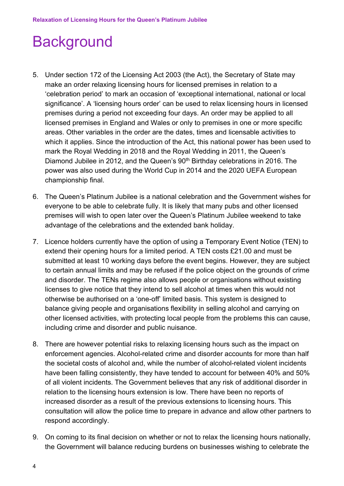# <span id="page-5-0"></span>**Background**

- 5. Under section 172 of the Licensing Act 2003 (the Act), the Secretary of State may make an order relaxing licensing hours for licensed premises in relation to a 'celebration period' to mark an occasion of 'exceptional international, national or local significance'. A 'licensing hours order' can be used to relax licensing hours in licensed premises during a period not exceeding four days. An order may be applied to all licensed premises in England and Wales or only to premises in one or more specific areas. Other variables in the order are the dates, times and licensable activities to which it applies. Since the introduction of the Act, this national power has been used to mark the Royal Wedding in 2018 and the Royal Wedding in 2011, the Queen's Diamond Jubilee in 2012, and the Queen's 90<sup>th</sup> Birthday celebrations in 2016. The power was also used during the World Cup in 2014 and the 2020 UEFA European championship final.
- 6. The Queen's Platinum Jubilee is a national celebration and the Government wishes for everyone to be able to celebrate fully. It is likely that many pubs and other licensed premises will wish to open later over the Queen's Platinum Jubilee weekend to take advantage of the celebrations and the extended bank holiday.
- 7. Licence holders currently have the option of using a Temporary Event Notice (TEN) to extend their opening hours for a limited period. A TEN costs £21.00 and must be submitted at least 10 working days before the event begins. However, they are subject to certain annual limits and may be refused if the police object on the grounds of crime and disorder. The TENs regime also allows people or organisations without existing licenses to give notice that they intend to sell alcohol at times when this would not otherwise be authorised on a 'one-off' limited basis. This system is designed to balance giving people and organisations flexibility in selling alcohol and carrying on other licensed activities, with protecting local people from the problems this can cause, including crime and disorder and public nuisance.
- 8. There are however potential risks to relaxing licensing hours such as the impact on enforcement agencies. Alcohol-related crime and disorder accounts for more than half the societal costs of alcohol and, while the number of alcohol-related violent incidents have been falling consistently, they have tended to account for between 40% and 50% of all violent incidents. The Government believes that any risk of additional disorder in relation to the licensing hours extension is low. There have been no reports of increased disorder as a result of the previous extensions to licensing hours. This consultation will allow the police time to prepare in advance and allow other partners to respond accordingly.
- 9. On coming to its final decision on whether or not to relax the licensing hours nationally, the Government will balance reducing burdens on businesses wishing to celebrate the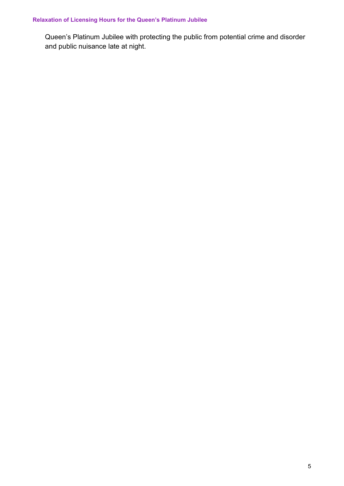#### **Relaxation of Licensing Hours for the Queen's Platinum Jubilee**

Queen's Platinum Jubilee with protecting the public from potential crime and disorder and public nuisance late at night.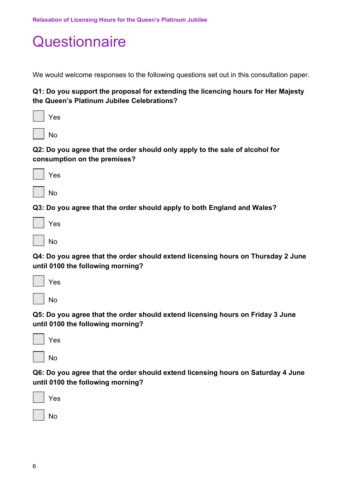### <span id="page-7-0"></span>**Questionnaire**

We would welcome responses to the following questions set out in this consultation paper.

#### **Q1: Do you support the proposal for extending the licencing hours for Her Majesty the Queen's Platinum Jubilee Celebrations?**

| Yes |
|-----|
|     |

No

#### **Q2: Do you agree that the order should only apply to the sale of alcohol for consumption on the premises?**

|--|--|

No

**Q3: Do you agree that the order should apply to both England and Wales?**

**Q4: Do you agree that the order should extend licensing hours on Thursday 2 June until 0100 the following morning?**

| Yes |
|-----|
| No  |

**Q5: Do you agree that the order should extend licensing hours on Friday 3 June until 0100 the following morning?**

| S<br>– |
|--------|
|        |

No

**Q6: Do you agree that the order should extend licensing hours on Saturday 4 June until 0100 the following morning?**

| Yes |  |
|-----|--|
| No  |  |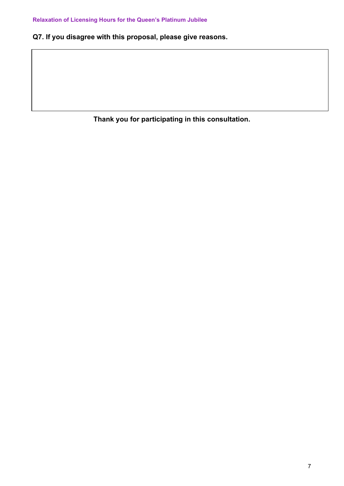**Q7. If you disagree with this proposal, please give reasons.**

**Thank you for participating in this consultation.**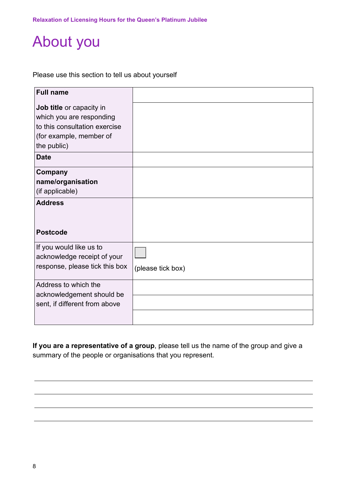## <span id="page-9-0"></span>About you

Please use this section to tell us about yourself

| <b>Full name</b>                                                                                                                |                   |
|---------------------------------------------------------------------------------------------------------------------------------|-------------------|
| Job title or capacity in<br>which you are responding<br>to this consultation exercise<br>(for example, member of<br>the public) |                   |
| <b>Date</b>                                                                                                                     |                   |
| Company<br>name/organisation<br>(if applicable)<br><b>Address</b><br><b>Postcode</b>                                            |                   |
| If you would like us to<br>acknowledge receipt of your<br>response, please tick this box                                        | (please tick box) |
| Address to which the<br>acknowledgement should be<br>sent, if different from above                                              |                   |

**If you are a representative of a group**, please tell us the name of the group and give a summary of the people or organisations that you represent.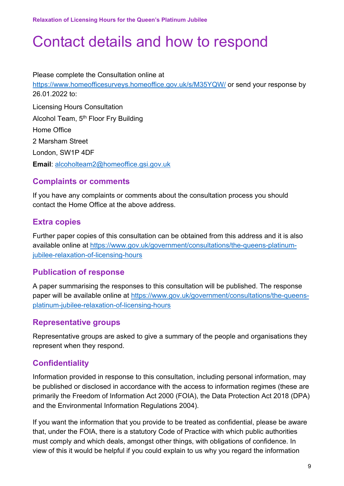## <span id="page-10-0"></span>Contact details and how to respond

Please complete the Consultation online at <https://www.homeofficesurveys.homeoffice.gov.uk/s/M35YQW/> or send your response by 26.01.2022 to: Licensing Hours Consultation Alcohol Team, 5<sup>th</sup> Floor Fry Building Home Office 2 Marsham Street London, SW1P 4DF **Email**: [alcoholteam2@homeoffice.gsi.gov.uk](mailto:alcoholteam2@homeoffice.gsi.gov.uk)

#### **Complaints or comments**

If you have any complaints or comments about the consultation process you should contact the Home Office at the above address.

#### **Extra copies**

Further paper copies of this consultation can be obtained from this address and it is also available online at [https://www.gov.uk/government/consultations/the-queens-platinum](https://www.gov.uk/government/consultations/the-queens-platinum-jubilee-relaxation-of-licensing-hours)[jubilee-relaxation-of-licensing-hours](https://www.gov.uk/government/consultations/the-queens-platinum-jubilee-relaxation-of-licensing-hours)

#### **Publication of response**

A paper summarising the responses to this consultation will be published. The response paper will be available online at [https://www.gov.uk/government/consultations/the-queens](https://www.gov.uk/government/consultations/the-queens-platinum-jubilee-relaxation-of-licensing-hours)[platinum-jubilee-relaxation-of-licensing-hours](https://www.gov.uk/government/consultations/the-queens-platinum-jubilee-relaxation-of-licensing-hours)

#### **Representative groups**

Representative groups are asked to give a summary of the people and organisations they represent when they respond.

#### **Confidentiality**

Information provided in response to this consultation, including personal information, may be published or disclosed in accordance with the access to information regimes (these are primarily the Freedom of Information Act 2000 (FOIA), the Data Protection Act 2018 (DPA) and the Environmental Information Regulations 2004).

If you want the information that you provide to be treated as confidential, please be aware that, under the FOIA, there is a statutory Code of Practice with which public authorities must comply and which deals, amongst other things, with obligations of confidence. In view of this it would be helpful if you could explain to us why you regard the information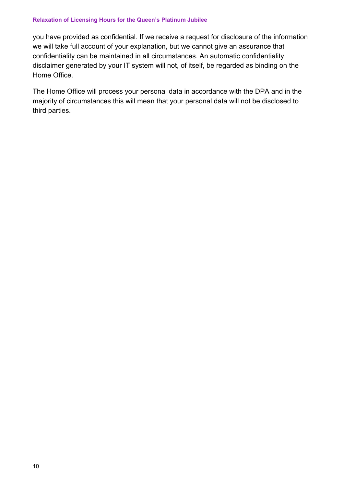#### **Relaxation of Licensing Hours for the Queen's Platinum Jubilee**

you have provided as confidential. If we receive a request for disclosure of the information we will take full account of your explanation, but we cannot give an assurance that confidentiality can be maintained in all circumstances. An automatic confidentiality disclaimer generated by your IT system will not, of itself, be regarded as binding on the Home Office.

The Home Office will process your personal data in accordance with the DPA and in the majority of circumstances this will mean that your personal data will not be disclosed to third parties.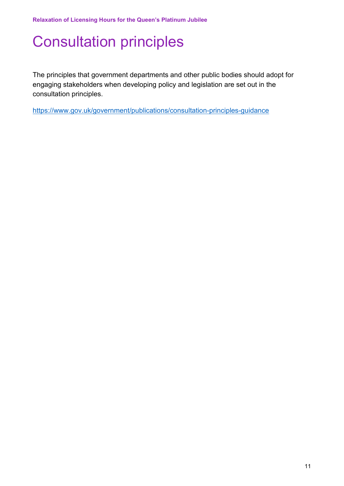# <span id="page-12-0"></span>Consultation principles

The principles that government departments and other public bodies should adopt for engaging stakeholders when developing policy and legislation are set out in the consultation principles.

<https://www.gov.uk/government/publications/consultation-principles-guidance>